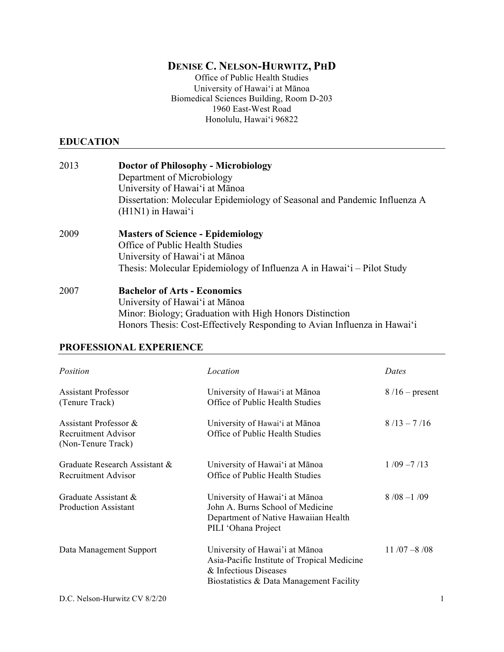# **DENISE C. NELSON-HURWITZ, PHD**

Office of Public Health Studies University of Hawai'i at Mānoa Biomedical Sciences Building, Room D-203 1960 East-West Road Honolulu, Hawai'i 96822

## **EDUCATION**

| 2013 | <b>Doctor of Philosophy - Microbiology</b><br>Department of Microbiology<br>University of Hawai'i at Mānoa<br>Dissertation: Molecular Epidemiology of Seasonal and Pandemic Influenza A<br>$(H1N1)$ in Hawai'i |
|------|----------------------------------------------------------------------------------------------------------------------------------------------------------------------------------------------------------------|
| 2009 | <b>Masters of Science - Epidemiology</b><br>Office of Public Health Studies<br>University of Hawai'i at Mānoa<br>Thesis: Molecular Epidemiology of Influenza A in Hawai'i – Pilot Study                        |
| 2007 | <b>Bachelor of Arts - Economics</b><br>University of Hawai'i at Mānoa<br>Minor: Biology; Graduation with High Honors Distinction                                                                               |

Honors Thesis: Cost-Effectively Responding to Avian Influenza in Hawai'i

# **PROFESSIONAL EXPERIENCE**

| Position                                                                  | Location                                                                                                                                           | Dates            |  |
|---------------------------------------------------------------------------|----------------------------------------------------------------------------------------------------------------------------------------------------|------------------|--|
| <b>Assistant Professor</b><br>(Tenure Track)                              | University of Hawai'i at Mānoa<br>Office of Public Health Studies                                                                                  | $8/16$ – present |  |
| Assistant Professor &<br><b>Recruitment Advisor</b><br>(Non-Tenure Track) | University of Hawai'i at Mānoa<br>Office of Public Health Studies                                                                                  | $8/13 - 7/16$    |  |
| Graduate Research Assistant &<br><b>Recruitment Advisor</b>               | University of Hawai'i at Mānoa<br>Office of Public Health Studies                                                                                  | $1/09 - 7/13$    |  |
| Graduate Assistant &<br><b>Production Assistant</b>                       | University of Hawai'i at Mānoa<br>John A. Burns School of Medicine<br>Department of Native Hawaiian Health<br>PILI 'Ohana Project                  | $8/08 - 1/09$    |  |
| Data Management Support                                                   | University of Hawai'i at Mānoa<br>Asia-Pacific Institute of Tropical Medicine<br>& Infectious Diseases<br>Biostatistics & Data Management Facility | $11/07 - 8/08$   |  |
| D.C. Nelson-Hurwitz CV 8/2/20                                             |                                                                                                                                                    |                  |  |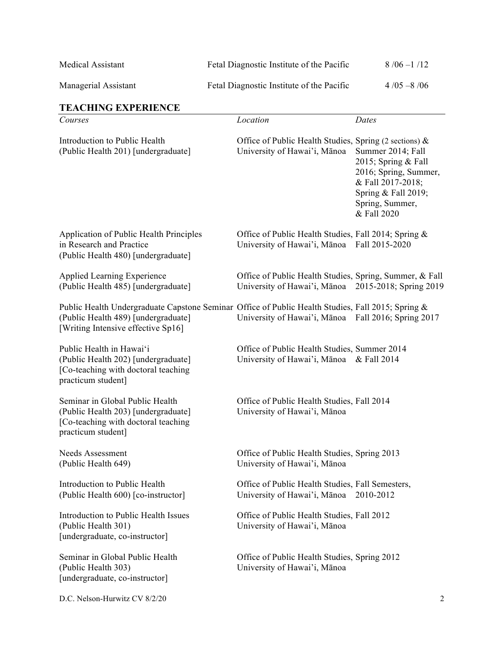| <b>Medical Assistant</b>                                                                                                                                                       | Fetal Diagnostic Institute of the Pacific                                                                      | $8/06 - 1/12$                                                                                                                                     |  |
|--------------------------------------------------------------------------------------------------------------------------------------------------------------------------------|----------------------------------------------------------------------------------------------------------------|---------------------------------------------------------------------------------------------------------------------------------------------------|--|
| Managerial Assistant                                                                                                                                                           | Fetal Diagnostic Institute of the Pacific                                                                      | $4/05 - 8/06$                                                                                                                                     |  |
| <b>TEACHING EXPERIENCE</b>                                                                                                                                                     |                                                                                                                |                                                                                                                                                   |  |
| Courses                                                                                                                                                                        | Location                                                                                                       | Dates                                                                                                                                             |  |
| Introduction to Public Health<br>(Public Health 201) [undergraduate]                                                                                                           | Office of Public Health Studies, Spring (2 sections) &<br>University of Hawai'i, Mānoa                         | Summer 2014; Fall<br>2015; Spring $&$ Fall<br>2016; Spring, Summer,<br>& Fall 2017-2018;<br>Spring & Fall 2019;<br>Spring, Summer,<br>& Fall 2020 |  |
| Application of Public Health Principles<br>in Research and Practice<br>(Public Health 480) [undergraduate]                                                                     | Office of Public Health Studies, Fall 2014; Spring &<br>University of Hawai'i, Mānoa Fall 2015-2020            |                                                                                                                                                   |  |
| Applied Learning Experience<br>(Public Health 485) [undergraduate]                                                                                                             | Office of Public Health Studies, Spring, Summer, & Fall<br>University of Hawai'i, Mānoa 2015-2018; Spring 2019 |                                                                                                                                                   |  |
| Public Health Undergraduate Capstone Seminar Office of Public Health Studies, Fall 2015; Spring &<br>(Public Health 489) [undergraduate]<br>[Writing Intensive effective Sp16] | University of Hawai'i, Mānoa Fall 2016; Spring 2017                                                            |                                                                                                                                                   |  |
| Public Health in Hawai'i<br>(Public Health 202) [undergraduate]<br>[Co-teaching with doctoral teaching<br>practicum student]                                                   | Office of Public Health Studies, Summer 2014<br>University of Hawai'i, Mānoa & Fall 2014                       |                                                                                                                                                   |  |
| Seminar in Global Public Health<br>(Public Health 203) [undergraduate]<br>[Co-teaching with doctoral teaching<br>practicum student                                             | Office of Public Health Studies, Fall 2014<br>University of Hawai'i, Mānoa                                     |                                                                                                                                                   |  |
| <b>Needs Assessment</b><br>(Public Health 649)                                                                                                                                 | Office of Public Health Studies, Spring 2013<br>University of Hawai'i, Mānoa                                   |                                                                                                                                                   |  |
| Introduction to Public Health<br>(Public Health 600) [co-instructor]                                                                                                           | Office of Public Health Studies, Fall Semesters,<br>University of Hawai'i, Mānoa                               | 2010-2012                                                                                                                                         |  |
| Introduction to Public Health Issues<br>(Public Health 301)<br>[undergraduate, co-instructor]                                                                                  | Office of Public Health Studies, Fall 2012<br>University of Hawai'i, Mānoa                                     |                                                                                                                                                   |  |
| Seminar in Global Public Health<br>(Public Health 303)<br>[undergraduate, co-instructor]                                                                                       | Office of Public Health Studies, Spring 2012<br>University of Hawai'i, Mānoa                                   |                                                                                                                                                   |  |
| D.C. Nelson-Hurwitz CV 8/2/20                                                                                                                                                  |                                                                                                                |                                                                                                                                                   |  |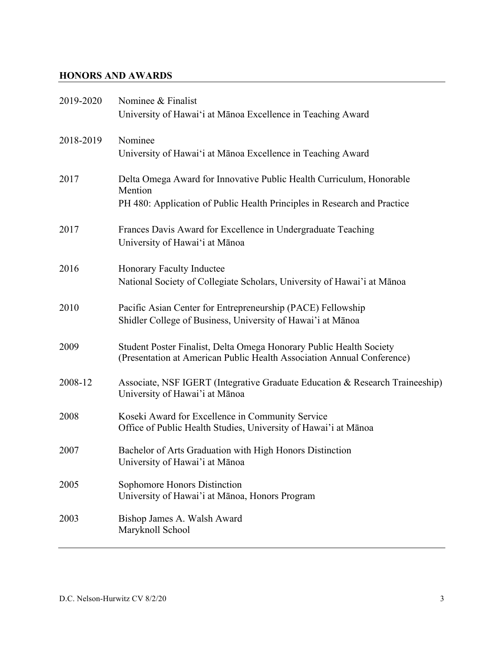# **HONORS AND AWARDS**

| 2019-2020 | Nominee & Finalist<br>University of Hawai'i at Mānoa Excellence in Teaching Award                                                                           |
|-----------|-------------------------------------------------------------------------------------------------------------------------------------------------------------|
| 2018-2019 | Nominee<br>University of Hawai'i at Mānoa Excellence in Teaching Award                                                                                      |
| 2017      | Delta Omega Award for Innovative Public Health Curriculum, Honorable<br>Mention<br>PH 480: Application of Public Health Principles in Research and Practice |
| 2017      | Frances Davis Award for Excellence in Undergraduate Teaching<br>University of Hawai'i at Mānoa                                                              |
| 2016      | Honorary Faculty Inductee<br>National Society of Collegiate Scholars, University of Hawai'i at Mānoa                                                        |
| 2010      | Pacific Asian Center for Entrepreneurship (PACE) Fellowship<br>Shidler College of Business, University of Hawai'i at Mānoa                                  |
| 2009      | Student Poster Finalist, Delta Omega Honorary Public Health Society<br>(Presentation at American Public Health Association Annual Conference)               |
| 2008-12   | Associate, NSF IGERT (Integrative Graduate Education & Research Traineeship)<br>University of Hawai'i at Mānoa                                              |
| 2008      | Koseki Award for Excellence in Community Service<br>Office of Public Health Studies, University of Hawai'i at Mānoa                                         |
| 2007      | Bachelor of Arts Graduation with High Honors Distinction<br>University of Hawai'i at Mānoa                                                                  |
| 2005      | Sophomore Honors Distinction<br>University of Hawai'i at Mānoa, Honors Program                                                                              |
| 2003      | Bishop James A. Walsh Award<br>Maryknoll School                                                                                                             |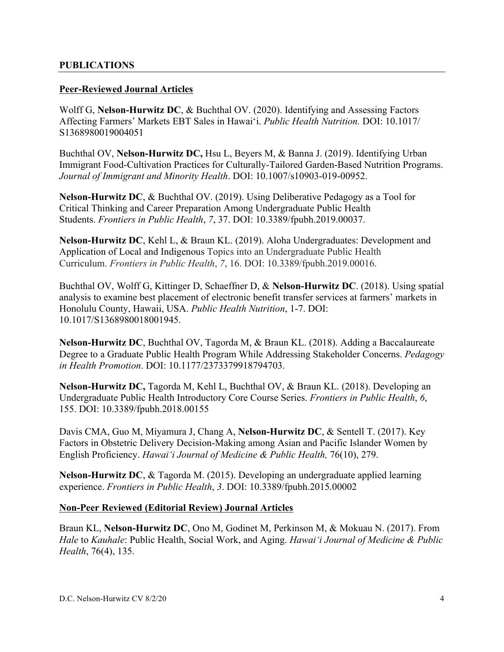## **Peer-Reviewed Journal Articles**

Wolff G, **Nelson-Hurwitz DC**, & Buchthal OV. (2020). Identifying and Assessing Factors Affecting Farmers' Markets EBT Sales in Hawai'i. *Public Health Nutrition.* DOI: 10.1017/ S1368980019004051

Buchthal OV, **Nelson-Hurwitz DC,** Hsu L, Beyers M, & Banna J. (2019). Identifying Urban Immigrant Food-Cultivation Practices for Culturally-Tailored Garden-Based Nutrition Programs. *Journal of Immigrant and Minority Health*. DOI: 10.1007/s10903-019-00952.

**Nelson-Hurwitz DC**, & Buchthal OV. (2019). Using Deliberative Pedagogy as a Tool for Critical Thinking and Career Preparation Among Undergraduate Public Health Students. *Frontiers in Public Health*, *7*, 37. DOI: 10.3389/fpubh.2019.00037.

**Nelson-Hurwitz DC**, Kehl L, & Braun KL. (2019). Aloha Undergraduates: Development and Application of Local and Indigenous Topics into an Undergraduate Public Health Curriculum. *Frontiers in Public Health*, *7*, 16. DOI: 10.3389/fpubh.2019.00016.

Buchthal OV, Wolff G, Kittinger D, Schaeffner D, & **Nelson-Hurwitz DC**. (2018). Using spatial analysis to examine best placement of electronic benefit transfer services at farmers' markets in Honolulu County, Hawaii, USA. *Public Health Nutrition*, 1-7. DOI: 10.1017/S1368980018001945.

**Nelson-Hurwitz DC**, Buchthal OV, Tagorda M, & Braun KL. (2018). Adding a Baccalaureate Degree to a Graduate Public Health Program While Addressing Stakeholder Concerns. *Pedagogy in Health Promotion*. DOI: 10.1177/2373379918794703.

**Nelson-Hurwitz DC,** Tagorda M, Kehl L, Buchthal OV, & Braun KL. (2018). Developing an Undergraduate Public Health Introductory Core Course Series. *Frontiers in Public Health*, *6*, 155. DOI: 10.3389/fpubh.2018.00155

Davis CMA, Guo M, Miyamura J, Chang A, **Nelson-Hurwitz DC**, & Sentell T. (2017). Key Factors in Obstetric Delivery Decision-Making among Asian and Pacific Islander Women by English Proficiency. *Hawai'i Journal of Medicine & Public Health,* 76(10), 279.

**Nelson-Hurwitz DC**, & Tagorda M. (2015). Developing an undergraduate applied learning experience. *Frontiers in Public Health*, *3*. DOI: 10.3389/fpubh.2015.00002

# **Non-Peer Reviewed (Editorial Review) Journal Articles**

Braun KL, **Nelson-Hurwitz DC**, Ono M, Godinet M, Perkinson M, & Mokuau N. (2017). From *Hale* to *Kauhale*: Public Health, Social Work, and Aging. *Hawai'i Journal of Medicine & Public Health*, 76(4), 135.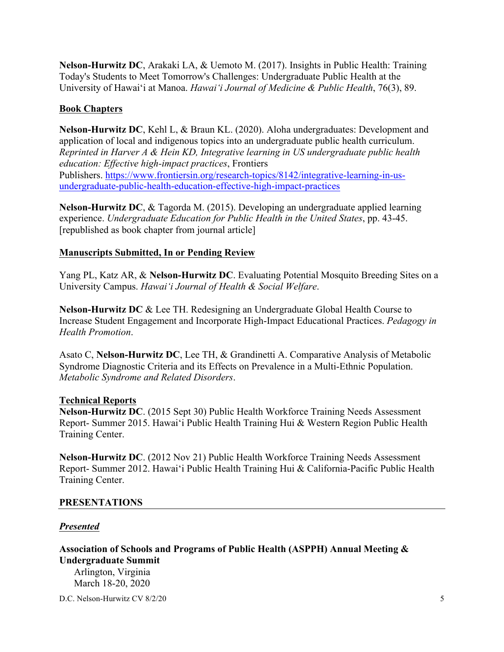**Nelson-Hurwitz DC**, Arakaki LA, & Uemoto M. (2017). Insights in Public Health: Training Today's Students to Meet Tomorrow's Challenges: Undergraduate Public Health at the University of Hawai'i at Manoa. *Hawai'i Journal of Medicine & Public Health*, 76(3), 89.

# **Book Chapters**

**Nelson-Hurwitz DC**, Kehl L, & Braun KL. (2020). Aloha undergraduates: Development and application of local and indigenous topics into an undergraduate public health curriculum. *Reprinted in Harver A & Hein KD, Integrative learning in US undergraduate public health education: Effective high-impact practices*, Frontiers Publishers. https://www.frontiersin.org/research-topics/8142/integrative-learning-in-usundergraduate-public-health-education-effective-high-impact-practices

**Nelson-Hurwitz DC**, & Tagorda M. (2015). Developing an undergraduate applied learning experience. *Undergraduate Education for Public Health in the United States*, pp. 43-45. [republished as book chapter from journal article]

# **Manuscripts Submitted, In or Pending Review**

Yang PL, Katz AR, & **Nelson-Hurwitz DC**. Evaluating Potential Mosquito Breeding Sites on a University Campus. *Hawai'i Journal of Health & Social Welfare*.

**Nelson-Hurwitz DC** & Lee TH. Redesigning an Undergraduate Global Health Course to Increase Student Engagement and Incorporate High-Impact Educational Practices. *Pedagogy in Health Promotion*.

Asato C, **Nelson-Hurwitz DC**, Lee TH, & Grandinetti A. Comparative Analysis of Metabolic Syndrome Diagnostic Criteria and its Effects on Prevalence in a Multi-Ethnic Population. *Metabolic Syndrome and Related Disorders*.

# **Technical Reports**

**Nelson-Hurwitz DC**. (2015 Sept 30) Public Health Workforce Training Needs Assessment Report- Summer 2015. Hawai'i Public Health Training Hui & Western Region Public Health Training Center.

**Nelson-Hurwitz DC**. (2012 Nov 21) Public Health Workforce Training Needs Assessment Report- Summer 2012. Hawai'i Public Health Training Hui & California-Pacific Public Health Training Center.

# **PRESENTATIONS**

# *Presented*

**Association of Schools and Programs of Public Health (ASPPH) Annual Meeting & Undergraduate Summit**

Arlington, Virginia March 18-20, 2020

 $D.C.$  Nelson-Hurwitz CV 8/2/20  $5$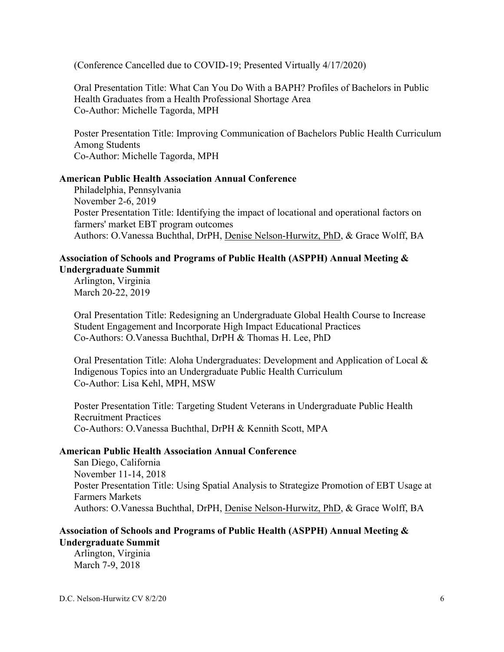(Conference Cancelled due to COVID-19; Presented Virtually 4/17/2020)

Oral Presentation Title: What Can You Do With a BAPH? Profiles of Bachelors in Public Health Graduates from a Health Professional Shortage Area Co-Author: Michelle Tagorda, MPH

Poster Presentation Title: Improving Communication of Bachelors Public Health Curriculum Among Students Co-Author: Michelle Tagorda, MPH

# **American Public Health Association Annual Conference**

Philadelphia, Pennsylvania November 2-6, 2019 Poster Presentation Title: Identifying the impact of locational and operational factors on farmers' market EBT program outcomes Authors: O.Vanessa Buchthal, DrPH, Denise Nelson-Hurwitz, PhD, & Grace Wolff, BA

## **Association of Schools and Programs of Public Health (ASPPH) Annual Meeting & Undergraduate Summit**

Arlington, Virginia March 20-22, 2019

Oral Presentation Title: Redesigning an Undergraduate Global Health Course to Increase Student Engagement and Incorporate High Impact Educational Practices Co-Authors: O.Vanessa Buchthal, DrPH & Thomas H. Lee, PhD

Oral Presentation Title: Aloha Undergraduates: Development and Application of Local & Indigenous Topics into an Undergraduate Public Health Curriculum Co-Author: Lisa Kehl, MPH, MSW

Poster Presentation Title: Targeting Student Veterans in Undergraduate Public Health Recruitment Practices Co-Authors: O.Vanessa Buchthal, DrPH & Kennith Scott, MPA

#### **American Public Health Association Annual Conference**

San Diego, California November 11-14, 2018 Poster Presentation Title: Using Spatial Analysis to Strategize Promotion of EBT Usage at Farmers Markets Authors: O.Vanessa Buchthal, DrPH, Denise Nelson-Hurwitz, PhD, & Grace Wolff, BA

## **Association of Schools and Programs of Public Health (ASPPH) Annual Meeting & Undergraduate Summit**

Arlington, Virginia March 7-9, 2018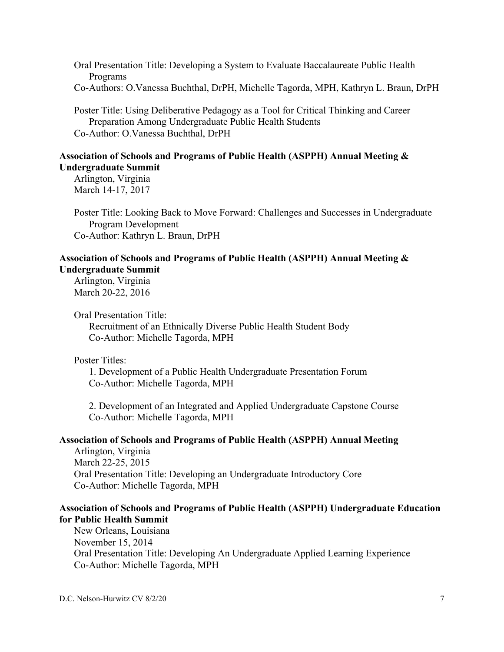Oral Presentation Title: Developing a System to Evaluate Baccalaureate Public Health Programs Co-Authors: O.Vanessa Buchthal, DrPH, Michelle Tagorda, MPH, Kathryn L. Braun, DrPH

Poster Title: Using Deliberative Pedagogy as a Tool for Critical Thinking and Career Preparation Among Undergraduate Public Health Students Co-Author: O.Vanessa Buchthal, DrPH

### **Association of Schools and Programs of Public Health (ASPPH) Annual Meeting & Undergraduate Summit**

Arlington, Virginia March 14-17, 2017

Poster Title: Looking Back to Move Forward: Challenges and Successes in Undergraduate Program Development Co-Author: Kathryn L. Braun, DrPH

## **Association of Schools and Programs of Public Health (ASPPH) Annual Meeting & Undergraduate Summit**

Arlington, Virginia March 20-22, 2016

Oral Presentation Title:

Recruitment of an Ethnically Diverse Public Health Student Body Co-Author: Michelle Tagorda, MPH

## Poster Titles:

1. Development of a Public Health Undergraduate Presentation Forum Co-Author: Michelle Tagorda, MPH

2. Development of an Integrated and Applied Undergraduate Capstone Course Co-Author: Michelle Tagorda, MPH

## **Association of Schools and Programs of Public Health (ASPPH) Annual Meeting**

Arlington, Virginia March 22-25, 2015 Oral Presentation Title: Developing an Undergraduate Introductory Core Co-Author: Michelle Tagorda, MPH

# **Association of Schools and Programs of Public Health (ASPPH) Undergraduate Education for Public Health Summit**

New Orleans, Louisiana November 15, 2014 Oral Presentation Title: Developing An Undergraduate Applied Learning Experience Co-Author: Michelle Tagorda, MPH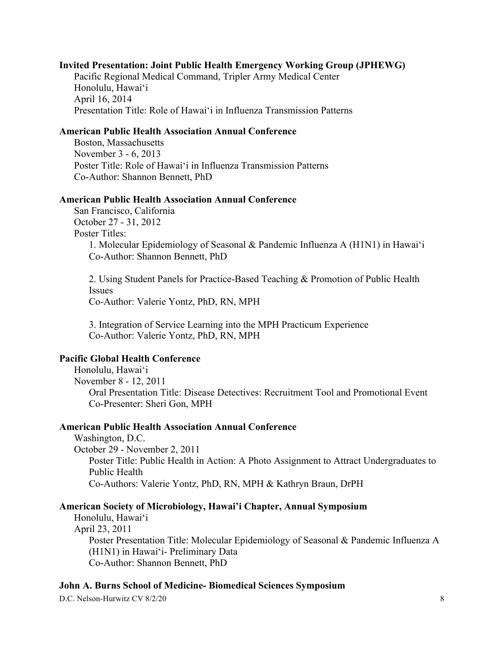## **Invited Presentation: Joint Public Health Emergency Working Group (JPHEWG)**

Pacific Regional Medical Command, Tripler Army Medical Center Honolulu, Hawai'i April 16, 2014 Presentation Title: Role of Hawai'i in Influenza Transmission Patterns

## **American Public Health Association Annual Conference**

Boston, Massachusetts November 3 - 6, 2013 Poster Title: Role of Hawai'i in Influenza Transmission Patterns Co-Author: Shannon Bennett, PhD

## **American Public Health Association Annual Conference**

San Francisco, California October 27 - 31, 2012 Poster Titles: 1. Molecular Epidemiology of Seasonal & Pandemic Influenza A (H1N1) in Hawai'i Co-Author: Shannon Bennett, PhD

2. Using Student Panels for Practice-Based Teaching & Promotion of Public Health Issues Co-Author: Valerie Yontz, PhD, RN, MPH

3. Integration of Service Learning into the MPH Practicum Experience Co-Author: Valerie Yontz, PhD, RN, MPH

## **Pacific Global Health Conference**

Honolulu, Hawai'i November 8 - 12, 2011 Oral Presentation Title: Disease Detectives: Recruitment Tool and Promotional Event Co-Presenter: Sheri Gon, MPH

## **American Public Health Association Annual Conference**

Washington, D.C. October 29 - November 2, 2011 Poster Title: Public Health in Action: A Photo Assignment to Attract Undergraduates to Public Health Co-Authors: Valerie Yontz, PhD, RN, MPH & Kathryn Braun, DrPH

### **American Society of Microbiology, Hawai'i Chapter, Annual Symposium**

Honolulu, Hawai'i April 23, 2011 Poster Presentation Title: Molecular Epidemiology of Seasonal & Pandemic Influenza A (H1N1) in Hawai'i- Preliminary Data Co-Author: Shannon Bennett, PhD

## **John A. Burns School of Medicine- Biomedical Sciences Symposium**

D.C. Nelson-Hurwitz CV 8/2/20 8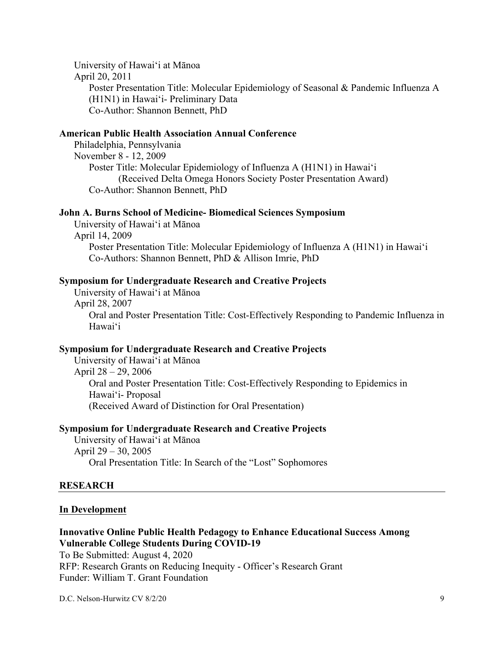University of Hawai'i at Mānoa April 20, 2011 Poster Presentation Title: Molecular Epidemiology of Seasonal & Pandemic Influenza A (H1N1) in Hawai'i- Preliminary Data Co-Author: Shannon Bennett, PhD

#### **American Public Health Association Annual Conference**

Philadelphia, Pennsylvania November 8 - 12, 2009 Poster Title: Molecular Epidemiology of Influenza A (H1N1) in Hawai'i (Received Delta Omega Honors Society Poster Presentation Award) Co-Author: Shannon Bennett, PhD

#### **John A. Burns School of Medicine- Biomedical Sciences Symposium**

University of Hawai'i at Mānoa April 14, 2009 Poster Presentation Title: Molecular Epidemiology of Influenza A (H1N1) in Hawai'i Co-Authors: Shannon Bennett, PhD & Allison Imrie, PhD

#### **Symposium for Undergraduate Research and Creative Projects**

University of Hawai'i at Mānoa

April 28, 2007

Oral and Poster Presentation Title: Cost-Effectively Responding to Pandemic Influenza in Hawai'i

## **Symposium for Undergraduate Research and Creative Projects**

University of Hawai'i at Mānoa April 28 – 29, 2006 Oral and Poster Presentation Title: Cost-Effectively Responding to Epidemics in Hawai'i- Proposal (Received Award of Distinction for Oral Presentation)

#### **Symposium for Undergraduate Research and Creative Projects**

University of Hawai'i at Mānoa April 29 – 30, 2005 Oral Presentation Title: In Search of the "Lost" Sophomores

#### **RESEARCH**

#### **In Development**

## **Innovative Online Public Health Pedagogy to Enhance Educational Success Among Vulnerable College Students During COVID-19**

To Be Submitted: August 4, 2020 RFP: Research Grants on Reducing Inequity - Officer's Research Grant Funder: William T. Grant Foundation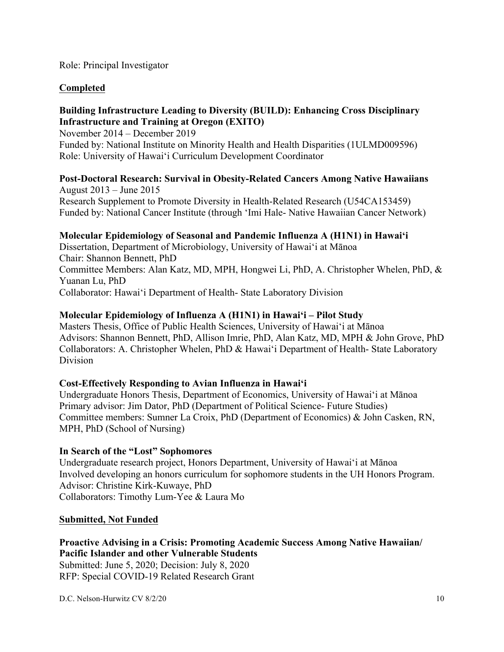Role: Principal Investigator

# **Completed**

# **Building Infrastructure Leading to Diversity (BUILD): Enhancing Cross Disciplinary Infrastructure and Training at Oregon (EXITO)**

November 2014 – December 2019 Funded by: National Institute on Minority Health and Health Disparities (1ULMD009596) Role: University of Hawai'i Curriculum Development Coordinator

## **Post-Doctoral Research: Survival in Obesity-Related Cancers Among Native Hawaiians** August 2013 – June 2015

Research Supplement to Promote Diversity in Health-Related Research (U54CA153459) Funded by: National Cancer Institute (through 'Imi Hale- Native Hawaiian Cancer Network)

# **Molecular Epidemiology of Seasonal and Pandemic Influenza A (H1N1) in Hawai'i**

Dissertation, Department of Microbiology, University of Hawai'i at Mānoa Chair: Shannon Bennett, PhD Committee Members: Alan Katz, MD, MPH, Hongwei Li, PhD, A. Christopher Whelen, PhD, & Yuanan Lu, PhD Collaborator: Hawai'i Department of Health- State Laboratory Division

# **Molecular Epidemiology of Influenza A (H1N1) in Hawai'i – Pilot Study**

Masters Thesis, Office of Public Health Sciences, University of Hawai'i at Mānoa Advisors: Shannon Bennett, PhD, Allison Imrie, PhD, Alan Katz, MD, MPH & John Grove, PhD Collaborators: A. Christopher Whelen, PhD & Hawai'i Department of Health- State Laboratory Division

# **Cost-Effectively Responding to Avian Influenza in Hawai'i**

Undergraduate Honors Thesis, Department of Economics, University of Hawai'i at Mānoa Primary advisor: Jim Dator, PhD (Department of Political Science- Future Studies) Committee members: Sumner La Croix, PhD (Department of Economics) & John Casken, RN, MPH, PhD (School of Nursing)

# **In Search of the "Lost" Sophomores**

Undergraduate research project, Honors Department, University of Hawai'i at Mānoa Involved developing an honors curriculum for sophomore students in the UH Honors Program. Advisor: Christine Kirk-Kuwaye, PhD Collaborators: Timothy Lum-Yee & Laura Mo

# **Submitted, Not Funded**

#### **Proactive Advising in a Crisis: Promoting Academic Success Among Native Hawaiian/ Pacific Islander and other Vulnerable Students**

Submitted: June 5, 2020; Decision: July 8, 2020 RFP: Special COVID-19 Related Research Grant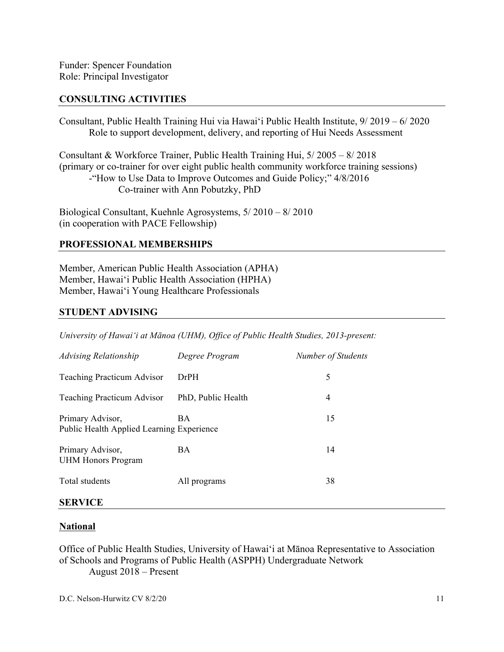Funder: Spencer Foundation Role: Principal Investigator

### **CONSULTING ACTIVITIES**

Consultant, Public Health Training Hui via Hawai'i Public Health Institute, 9/ 2019 – 6/ 2020 Role to support development, delivery, and reporting of Hui Needs Assessment

Consultant & Workforce Trainer, Public Health Training Hui, 5/ 2005 – 8/ 2018 (primary or co-trainer for over eight public health community workforce training sessions) -"How to Use Data to Improve Outcomes and Guide Policy;" 4/8/2016 Co-trainer with Ann Pobutzky, PhD

Biological Consultant, Kuehnle Agrosystems, 5/ 2010 – 8/ 2010 (in cooperation with PACE Fellowship)

### **PROFESSIONAL MEMBERSHIPS**

Member, American Public Health Association (APHA) Member, Hawai'i Public Health Association (HPHA) Member, Hawai'i Young Healthcare Professionals

#### **STUDENT ADVISING**

*University of Hawai'i at Mānoa (UHM), Office of Public Health Studies, 2013-present:*

| <b>Advising Relationship</b>                                  | Degree Program     | Number of Students |  |  |
|---------------------------------------------------------------|--------------------|--------------------|--|--|
| <b>Teaching Practicum Advisor</b>                             | DrPH               | 5                  |  |  |
| <b>Teaching Practicum Advisor</b>                             | PhD, Public Health | 4                  |  |  |
| Primary Advisor,<br>Public Health Applied Learning Experience | BA                 | 15                 |  |  |
| Primary Advisor,<br><b>UHM Honors Program</b>                 | BA                 | 14                 |  |  |
| Total students                                                | All programs       | 38                 |  |  |
| <b>SERVICE</b>                                                |                    |                    |  |  |

### **National**

Office of Public Health Studies, University of Hawai'i at Mānoa Representative to Association of Schools and Programs of Public Health (ASPPH) Undergraduate Network August 2018 – Present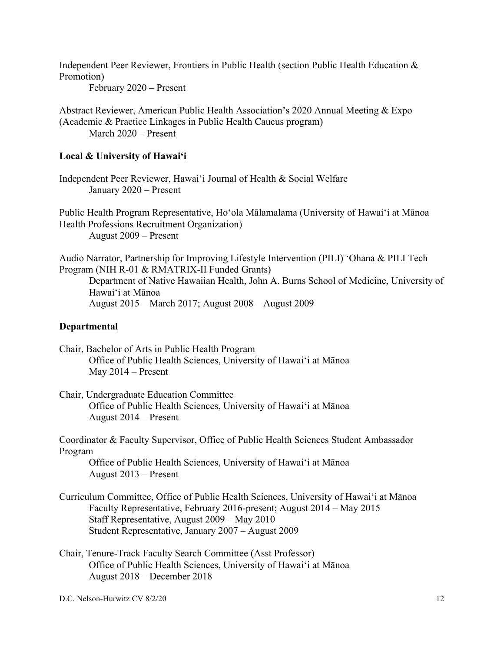Independent Peer Reviewer, Frontiers in Public Health (section Public Health Education & Promotion)

February 2020 – Present

Abstract Reviewer, American Public Health Association's 2020 Annual Meeting & Expo (Academic & Practice Linkages in Public Health Caucus program) March 2020 – Present

## **Local & University of Hawai'i**

Independent Peer Reviewer, Hawai'i Journal of Health & Social Welfare January 2020 – Present

Public Health Program Representative, Ho'ola Mālamalama (University of Hawai'i at Mānoa Health Professions Recruitment Organization) August 2009 – Present

Audio Narrator, Partnership for Improving Lifestyle Intervention (PILI) 'Ohana & PILI Tech Program (NIH R-01 & RMATRIX-II Funded Grants) Department of Native Hawaiian Health, John A. Burns School of Medicine, University of Hawai'i at Mānoa August 2015 – March 2017; August 2008 – August 2009

#### **Departmental**

Chair, Bachelor of Arts in Public Health Program Office of Public Health Sciences, University of Hawai'i at Mānoa May 2014 – Present

Chair, Undergraduate Education Committee Office of Public Health Sciences, University of Hawai'i at Mānoa August 2014 – Present

Coordinator & Faculty Supervisor, Office of Public Health Sciences Student Ambassador Program

Office of Public Health Sciences, University of Hawai'i at Mānoa August 2013 – Present

- Curriculum Committee, Office of Public Health Sciences, University of Hawai'i at Mānoa Faculty Representative, February 2016-present; August 2014 – May 2015 Staff Representative, August 2009 – May 2010 Student Representative, January 2007 – August 2009
- Chair, Tenure-Track Faculty Search Committee (Asst Professor) Office of Public Health Sciences, University of Hawai'i at Mānoa August 2018 – December 2018